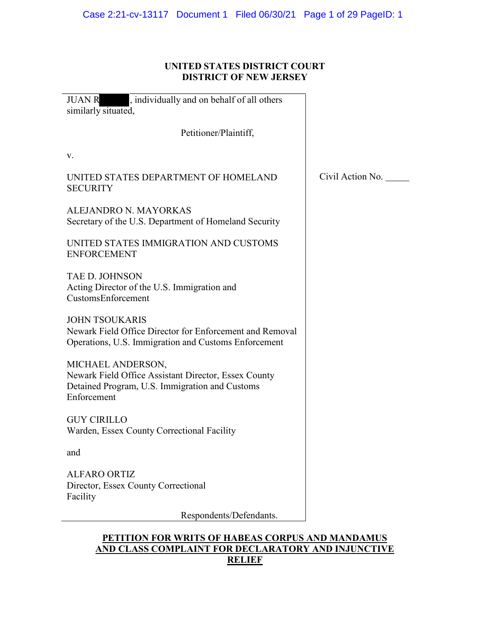# **UNITED STATES DISTRICT COURT DISTRICT OF NEW JERSEY**

| , individually and on behalf of all others<br><b>JUAN R</b><br>similarly situated,                                                         |                  |
|--------------------------------------------------------------------------------------------------------------------------------------------|------------------|
| Petitioner/Plaintiff,                                                                                                                      |                  |
| V.                                                                                                                                         |                  |
| UNITED STATES DEPARTMENT OF HOMELAND<br><b>SECURITY</b>                                                                                    | Civil Action No. |
| <b>ALEJANDRO N. MAYORKAS</b><br>Secretary of the U.S. Department of Homeland Security                                                      |                  |
| UNITED STATES IMMIGRATION AND CUSTOMS<br><b>ENFORCEMENT</b>                                                                                |                  |
| <b>TAE D. JOHNSON</b><br>Acting Director of the U.S. Immigration and<br>CustomsEnforcement                                                 |                  |
| <b>JOHN TSOUKARIS</b><br>Newark Field Office Director for Enforcement and Removal<br>Operations, U.S. Immigration and Customs Enforcement  |                  |
| MICHAEL ANDERSON,<br>Newark Field Office Assistant Director, Essex County<br>Detained Program, U.S. Immigration and Customs<br>Enforcement |                  |
| <b>GUY CIRILLO</b><br>Warden, Essex County Correctional Facility                                                                           |                  |
| and                                                                                                                                        |                  |
| <b>ALFARO ORTIZ</b><br>Director, Essex County Correctional<br>Facility                                                                     |                  |
| Respondents/Defendants.                                                                                                                    |                  |

# **PETITION FOR WRITS OF HABEAS CORPUS AND MANDAMUS AND CLASS COMPLAINT FOR DECLARATORY AND INJUNCTIVE RELIEF**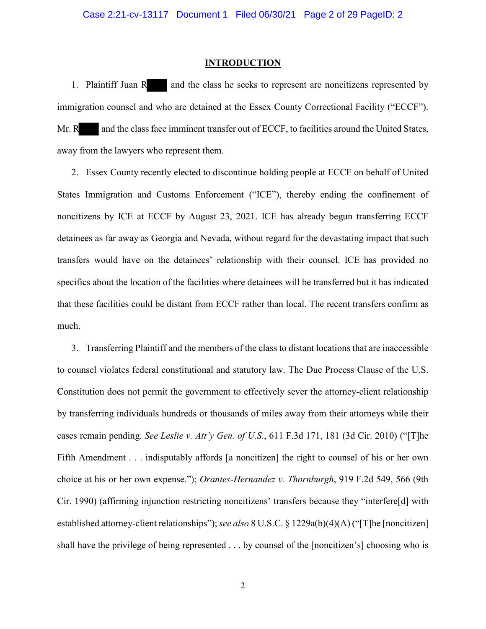#### **INTRODUCTION**

1. Plaintiff Juan R and the class he seeks to represent are noncitizens represented by immigration counsel and who are detained at the Essex County Correctional Facility ("ECCF"). Mr. R and the class face imminent transfer out of ECCF, to facilities around the United States, away from the lawyers who represent them.

2. Essex County recently elected to discontinue holding people at ECCF on behalf of United States Immigration and Customs Enforcement ("ICE"), thereby ending the confinement of noncitizens by ICE at ECCF by August 23, 2021. ICE has already begun transferring ECCF detainees as far away as Georgia and Nevada, without regard for the devastating impact that such transfers would have on the detainees' relationship with their counsel. ICE has provided no specifics about the location of the facilities where detainees will be transferred but it has indicated that these facilities could be distant from ECCF rather than local. The recent transfers confirm as much.

3. Transferring Plaintiff and the members of the class to distant locations that are inaccessible to counsel violates federal constitutional and statutory law. The Due Process Clause of the U.S. Constitution does not permit the government to effectively sever the attorney-client relationship by transferring individuals hundreds or thousands of miles away from their attorneys while their cases remain pending. *See Leslie v. Att'y Gen. of U.S.*, 611 F.3d 171, 181 (3d Cir. 2010) ("[T]he Fifth Amendment . . . indisputably affords [a noncitizen] the right to counsel of his or her own choice at his or her own expense."); *Orantes-Hernandez v. Thornburgh*, 919 F.2d 549, 566 (9th Cir. 1990) (affirming injunction restricting noncitizens' transfers because they "interfere[d] with established attorney-client relationships"); *see also* 8 U.S.C. § 1229a(b)(4)(A) ("[T]he [noncitizen] shall have the privilege of being represented . . . by counsel of the [noncitizen's] choosing who is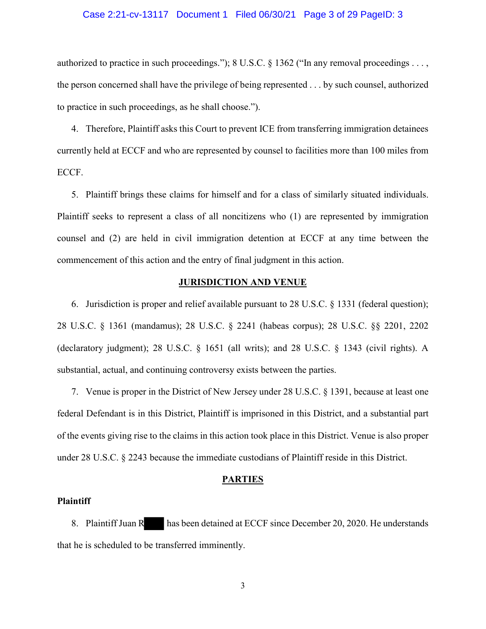#### Case 2:21-cv-13117 Document 1 Filed 06/30/21 Page 3 of 29 PageID: 3

authorized to practice in such proceedings."); 8 U.S.C. § 1362 ("In any removal proceedings . . . , the person concerned shall have the privilege of being represented . . . by such counsel, authorized to practice in such proceedings, as he shall choose.").

4. Therefore, Plaintiff asks this Court to prevent ICE from transferring immigration detainees currently held at ECCF and who are represented by counsel to facilities more than 100 miles from ECCF.

5. Plaintiff brings these claims for himself and for a class of similarly situated individuals. Plaintiff seeks to represent a class of all noncitizens who (1) are represented by immigration counsel and (2) are held in civil immigration detention at ECCF at any time between the commencement of this action and the entry of final judgment in this action.

### **JURISDICTION AND VENUE**

6. Jurisdiction is proper and relief available pursuant to 28 U.S.C.  $\S$  1331 (federal question); 28 U.S.C. § 1361 (mandamus); 28 U.S.C. § 2241 (habeas corpus); 28 U.S.C. §§ 2201, 2202 (declaratory judgment); 28 U.S.C. § 1651 (all writs); and 28 U.S.C. § 1343 (civil rights). A substantial, actual, and continuing controversy exists between the parties.

7. Venue is proper in the District of New Jersey under 28 U.S.C. § 1391, because at least one federal Defendant is in this District, Plaintiff is imprisoned in this District, and a substantial part of the events giving rise to the claims in this action took place in this District. Venue is also proper under 28 U.S.C. § 2243 because the immediate custodians of Plaintiff reside in this District.

#### **PARTIES**

#### **Plaintiff**

8. Plaintiff Juan R has been detained at ECCF since December 20, 2020. He understands that he is scheduled to be transferred imminently.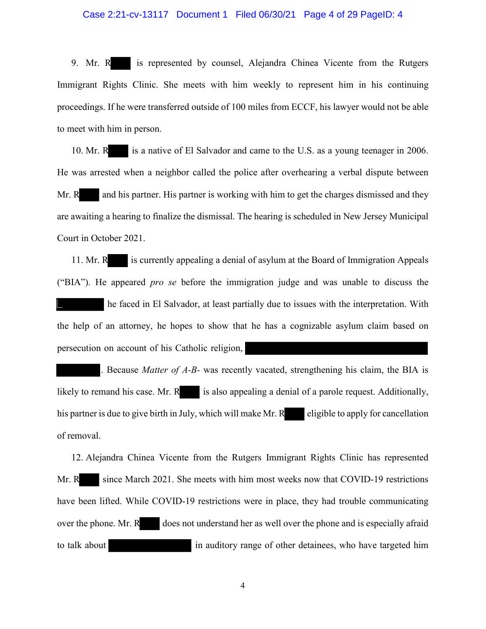### Case 2:21-cv-13117 Document 1 Filed 06/30/21 Page 4 of 29 PageID: 4

9. Mr. R is represented by counsel, Alejandra Chinea Vicente from the Rutgers Immigrant Rights Clinic. She meets with him weekly to represent him in his continuing proceedings. If he were transferred outside of 100 miles from ECCF, his lawyer would not be able to meet with him in person.

10. Mr. R is a native of El Salvador and came to the U.S. as a young teenager in 2006. He was arrested when a neighbor called the police after overhearing a verbal dispute between Mr.  $R$  and his partner. His partner is working with him to get the charges dismissed and they are awaiting a hearing to finalize the dismissal. The hearing is scheduled in New Jersey Municipal Court in October 2021.

11. Mr. R is currently appealing a denial of asylum at the Board of Immigration Appeals ("BIA"). He appeared *pro se* before the immigration judge and was unable to discuss the he faced in El Salvador, at least partially due to issues with the interpretation. With the help of an attorney, he hopes to show that he has a cognizable asylum claim based on persecution on account of his Catholic religion,

. Because *Matter of A-B-* was recently vacated, strengthening his claim, the BIA is likely to remand his case. Mr. R is also appealing a denial of a parole request. Additionally, his partner is due to give birth in July, which will make Mr. Recall eligible to apply for cancellation of removal.

12. Alejandra Chinea Vicente from the Rutgers Immigrant Rights Clinic has represented Mr. R since March 2021. She meets with him most weeks now that COVID-19 restrictions have been lifted. While COVID-19 restrictions were in place, they had trouble communicating over the phone. Mr. R does not understand her as well over the phone and is especially afraid to talk about in auditory range of other detainees, who have targeted him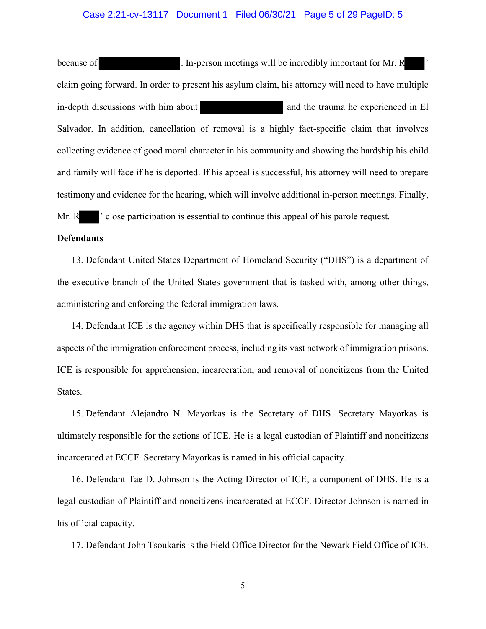#### Case 2:21-cv-13117 Document 1 Filed 06/30/21 Page 5 of 29 PageID: 5

because of **Exercise 1.** In-person meetings will be incredibly important for Mr. R claim going forward. In order to present his asylum claim, his attorney will need to have multiple in-depth discussions with him about and the trauma he experienced in El Salvador. In addition, cancellation of removal is a highly fact-specific claim that involves collecting evidence of good moral character in his community and showing the hardship his child and family will face if he is deported. If his appeal is successful, his attorney will need to prepare testimony and evidence for the hearing, which will involve additional in-person meetings. Finally, Mr. R  $\cdot$  close participation is essential to continue this appeal of his parole request.

### **Defendants**

13. Defendant United States Department of Homeland Security ("DHS") is a department of the executive branch of the United States government that is tasked with, among other things, administering and enforcing the federal immigration laws.

14. Defendant ICE is the agency within DHS that is specifically responsible for managing all aspects of the immigration enforcement process, including its vast network of immigration prisons. ICE is responsible for apprehension, incarceration, and removal of noncitizens from the United States.

15. Defendant Alejandro N. Mayorkas is the Secretary of DHS. Secretary Mayorkas is ultimately responsible for the actions of ICE. He is a legal custodian of Plaintiff and noncitizens incarcerated at ECCF. Secretary Mayorkas is named in his official capacity.

16. Defendant Tae D. Johnson is the Acting Director of ICE, a component of DHS. He is a legal custodian of Plaintiff and noncitizens incarcerated at ECCF. Director Johnson is named in his official capacity.

17. Defendant John Tsoukaris is the Field Office Director for the Newark Field Office of ICE.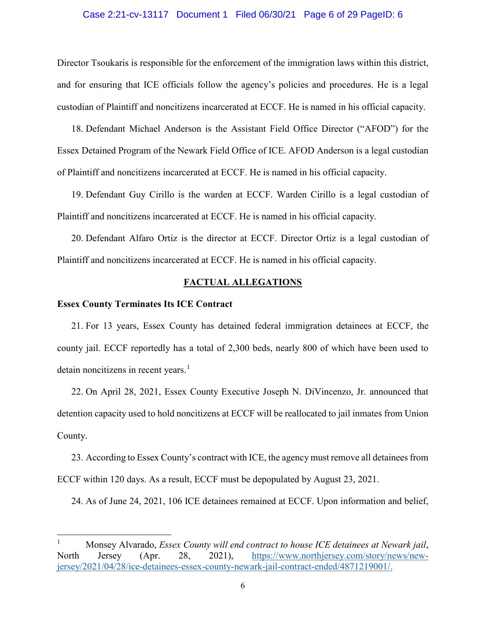### Case 2:21-cv-13117 Document 1 Filed 06/30/21 Page 6 of 29 PageID: 6

Director Tsoukaris is responsible for the enforcement of the immigration laws within this district, and for ensuring that ICE officials follow the agency's policies and procedures. He is a legal custodian of Plaintiff and noncitizens incarcerated at ECCF. He is named in his official capacity.

18. Defendant Michael Anderson is the Assistant Field Office Director ("AFOD") for the Essex Detained Program of the Newark Field Office of ICE. AFOD Anderson is a legal custodian of Plaintiff and noncitizens incarcerated at ECCF. He is named in his official capacity.

19. Defendant Guy Cirillo is the warden at ECCF. Warden Cirillo is a legal custodian of Plaintiff and noncitizens incarcerated at ECCF. He is named in his official capacity.

20. Defendant Alfaro Ortiz is the director at ECCF. Director Ortiz is a legal custodian of Plaintiff and noncitizens incarcerated at ECCF. He is named in his official capacity.

## **FACTUAL ALLEGATIONS**

### **Essex County Terminates Its ICE Contract**

21. For 13 years, Essex County has detained federal immigration detainees at ECCF, the county jail. ECCF reportedly has a total of 2,300 beds, nearly 800 of which have been used to detain noncitizens in recent years. $<sup>1</sup>$  $<sup>1</sup>$  $<sup>1</sup>$ </sup>

22. On April 28, 2021, Essex County Executive Joseph N. DiVincenzo, Jr. announced that detention capacity used to hold noncitizens at ECCF will be reallocated to jail inmates from Union County.

23. According to Essex County's contract with ICE, the agency must remove all detainees from ECCF within 120 days. As a result, ECCF must be depopulated by August 23, 2021.

24. As of June 24, 2021, 106 ICE detainees remained at ECCF. Upon information and belief,

<span id="page-5-0"></span> <sup>1</sup> Monsey Alvarado, *Essex County will end contract to house ICE detainees at Newark jail*, North Jersey (Apr. 28, 2021), [https://www.northjersey.com/story/news/new](https://www.northjersey.com/story/news/new-jersey/2021/04/28/ice-detainees-essex-county-newark-jail-contract-ended/4871219001/)[jersey/2021/04/28/ice-detainees-essex-county-newark-jail-contract-ended/4871219001/.](https://www.northjersey.com/story/news/new-jersey/2021/04/28/ice-detainees-essex-county-newark-jail-contract-ended/4871219001/)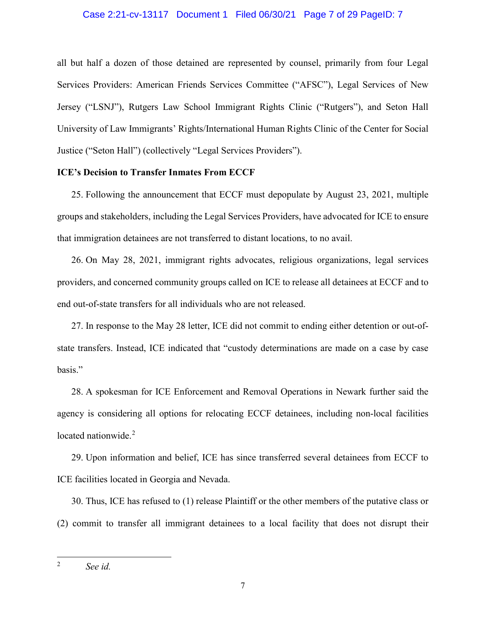### Case 2:21-cv-13117 Document 1 Filed 06/30/21 Page 7 of 29 PageID: 7

all but half a dozen of those detained are represented by counsel, primarily from four Legal Services Providers: American Friends Services Committee ("AFSC"), Legal Services of New Jersey ("LSNJ"), Rutgers Law School Immigrant Rights Clinic ("Rutgers"), and Seton Hall University of Law Immigrants' Rights/International Human Rights Clinic of the Center for Social Justice ("Seton Hall") (collectively "Legal Services Providers").

### **ICE's Decision to Transfer Inmates From ECCF**

25. Following the announcement that ECCF must depopulate by August 23, 2021, multiple groups and stakeholders, including the Legal Services Providers, have advocated for ICE to ensure that immigration detainees are not transferred to distant locations, to no avail.

26. On May 28, 2021, immigrant rights advocates, religious organizations, legal services providers, and concerned community groups called on ICE to release all detainees at ECCF and to end out-of-state transfers for all individuals who are not released.

27. In response to the May 28 letter, ICE did not commit to ending either detention or out-ofstate transfers. Instead, ICE indicated that "custody determinations are made on a case by case basis."

28. A spokesman for ICE Enforcement and Removal Operations in Newark further said the agency is considering all options for relocating ECCF detainees, including non-local facilities located nationwide.<sup>[2](#page-6-0)</sup>

29. Upon information and belief, ICE has since transferred several detainees from ECCF to ICE facilities located in Georgia and Nevada.

30. Thus, ICE has refused to (1) release Plaintiff or the other members of the putative class or (2) commit to transfer all immigrant detainees to a local facility that does not disrupt their

<span id="page-6-0"></span> <sup>2</sup> *See id.*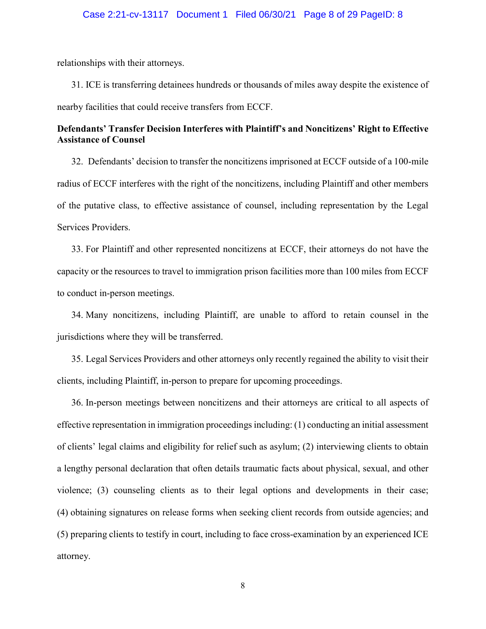#### Case 2:21-cv-13117 Document 1 Filed 06/30/21 Page 8 of 29 PageID: 8

relationships with their attorneys.

31. ICE is transferring detainees hundreds or thousands of miles away despite the existence of nearby facilities that could receive transfers from ECCF.

# **Defendants' Transfer Decision Interferes with Plaintiff's and Noncitizens' Right to Effective Assistance of Counsel**

32. Defendants' decision to transfer the noncitizens imprisoned at ECCF outside of a 100-mile radius of ECCF interferes with the right of the noncitizens, including Plaintiff and other members of the putative class, to effective assistance of counsel, including representation by the Legal Services Providers.

33. For Plaintiff and other represented noncitizens at ECCF, their attorneys do not have the capacity or the resources to travel to immigration prison facilities more than 100 miles from ECCF to conduct in-person meetings.

34. Many noncitizens, including Plaintiff, are unable to afford to retain counsel in the jurisdictions where they will be transferred.

35. Legal Services Providers and other attorneys only recently regained the ability to visit their clients, including Plaintiff, in-person to prepare for upcoming proceedings.

36. In-person meetings between noncitizens and their attorneys are critical to all aspects of effective representation in immigration proceedings including: (1) conducting an initial assessment of clients' legal claims and eligibility for relief such as asylum; (2) interviewing clients to obtain a lengthy personal declaration that often details traumatic facts about physical, sexual, and other violence; (3) counseling clients as to their legal options and developments in their case; (4) obtaining signatures on release forms when seeking client records from outside agencies; and (5) preparing clients to testify in court, including to face cross-examination by an experienced ICE attorney.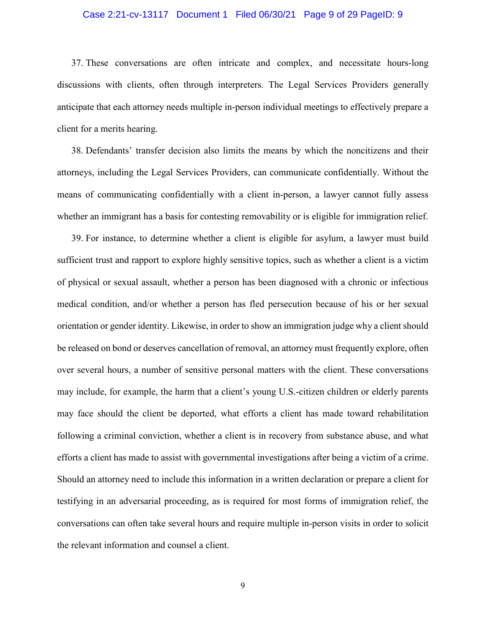### Case 2:21-cv-13117 Document 1 Filed 06/30/21 Page 9 of 29 PageID: 9

37. These conversations are often intricate and complex, and necessitate hours-long discussions with clients, often through interpreters. The Legal Services Providers generally anticipate that each attorney needs multiple in-person individual meetings to effectively prepare a client for a merits hearing.

38. Defendants' transfer decision also limits the means by which the noncitizens and their attorneys, including the Legal Services Providers, can communicate confidentially. Without the means of communicating confidentially with a client in-person, a lawyer cannot fully assess whether an immigrant has a basis for contesting removability or is eligible for immigration relief.

39. For instance, to determine whether a client is eligible for asylum, a lawyer must build sufficient trust and rapport to explore highly sensitive topics, such as whether a client is a victim of physical or sexual assault, whether a person has been diagnosed with a chronic or infectious medical condition, and/or whether a person has fled persecution because of his or her sexual orientation or gender identity. Likewise, in order to show an immigration judge why a client should be released on bond or deserves cancellation of removal, an attorney must frequently explore, often over several hours, a number of sensitive personal matters with the client. These conversations may include, for example, the harm that a client's young U.S.-citizen children or elderly parents may face should the client be deported, what efforts a client has made toward rehabilitation following a criminal conviction, whether a client is in recovery from substance abuse, and what efforts a client has made to assist with governmental investigations after being a victim of a crime. Should an attorney need to include this information in a written declaration or prepare a client for testifying in an adversarial proceeding, as is required for most forms of immigration relief, the conversations can often take several hours and require multiple in-person visits in order to solicit the relevant information and counsel a client.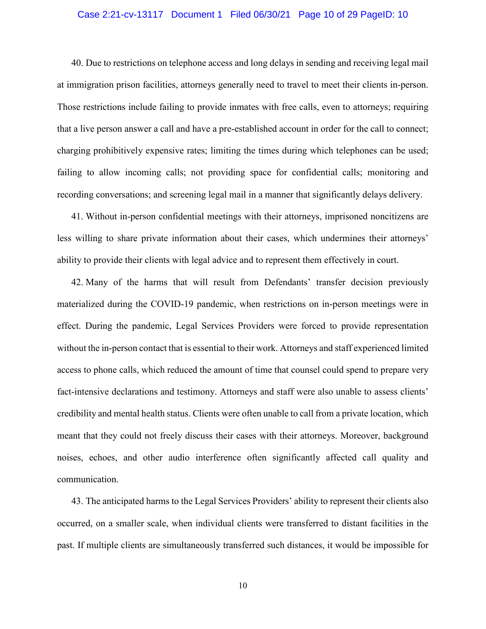#### Case 2:21-cv-13117 Document 1 Filed 06/30/21 Page 10 of 29 PageID: 10

40. Due to restrictions on telephone access and long delays in sending and receiving legal mail at immigration prison facilities, attorneys generally need to travel to meet their clients in-person. Those restrictions include failing to provide inmates with free calls, even to attorneys; requiring that a live person answer a call and have a pre-established account in order for the call to connect; charging prohibitively expensive rates; limiting the times during which telephones can be used; failing to allow incoming calls; not providing space for confidential calls; monitoring and recording conversations; and screening legal mail in a manner that significantly delays delivery.

41. Without in-person confidential meetings with their attorneys, imprisoned noncitizens are less willing to share private information about their cases, which undermines their attorneys' ability to provide their clients with legal advice and to represent them effectively in court.

42. Many of the harms that will result from Defendants' transfer decision previously materialized during the COVID-19 pandemic, when restrictions on in-person meetings were in effect. During the pandemic, Legal Services Providers were forced to provide representation without the in-person contact that is essential to their work. Attorneys and staff experienced limited access to phone calls, which reduced the amount of time that counsel could spend to prepare very fact-intensive declarations and testimony. Attorneys and staff were also unable to assess clients' credibility and mental health status. Clients were often unable to call from a private location, which meant that they could not freely discuss their cases with their attorneys. Moreover, background noises, echoes, and other audio interference often significantly affected call quality and communication.

43. The anticipated harms to the Legal Services Providers' ability to represent their clients also occurred, on a smaller scale, when individual clients were transferred to distant facilities in the past. If multiple clients are simultaneously transferred such distances, it would be impossible for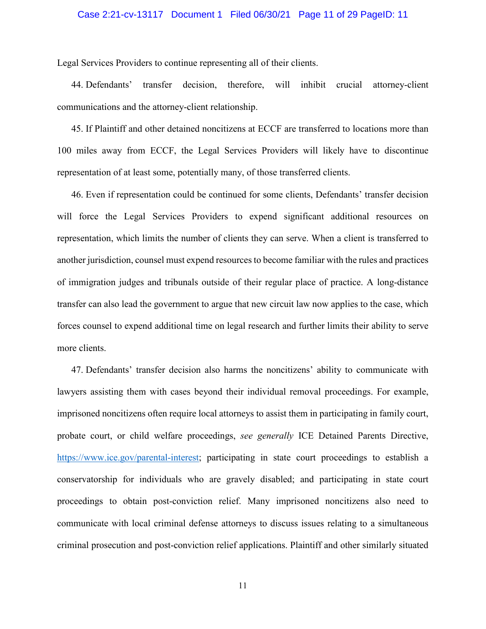#### Case 2:21-cv-13117 Document 1 Filed 06/30/21 Page 11 of 29 PageID: 11

Legal Services Providers to continue representing all of their clients.

44. Defendants' transfer decision, therefore, will inhibit crucial attorney-client communications and the attorney-client relationship.

45. If Plaintiff and other detained noncitizens at ECCF are transferred to locations more than 100 miles away from ECCF, the Legal Services Providers will likely have to discontinue representation of at least some, potentially many, of those transferred clients.

46. Even if representation could be continued for some clients, Defendants' transfer decision will force the Legal Services Providers to expend significant additional resources on representation, which limits the number of clients they can serve. When a client is transferred to another jurisdiction, counsel must expend resources to become familiar with the rules and practices of immigration judges and tribunals outside of their regular place of practice. A long-distance transfer can also lead the government to argue that new circuit law now applies to the case, which forces counsel to expend additional time on legal research and further limits their ability to serve more clients.

47. Defendants' transfer decision also harms the noncitizens' ability to communicate with lawyers assisting them with cases beyond their individual removal proceedings. For example, imprisoned noncitizens often require local attorneys to assist them in participating in family court, probate court, or child welfare proceedings, *see generally* ICE Detained Parents Directive, [https://www.ice.gov/parental-interest;](https://www.ice.gov/parental-interest) participating in state court proceedings to establish a conservatorship for individuals who are gravely disabled; and participating in state court proceedings to obtain post-conviction relief. Many imprisoned noncitizens also need to communicate with local criminal defense attorneys to discuss issues relating to a simultaneous criminal prosecution and post-conviction relief applications. Plaintiff and other similarly situated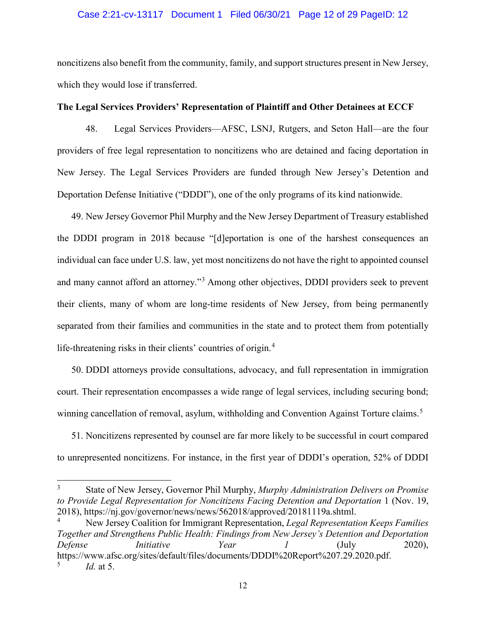### Case 2:21-cv-13117 Document 1 Filed 06/30/21 Page 12 of 29 PageID: 12

noncitizens also benefit from the community, family, and support structures present in New Jersey, which they would lose if transferred.

## **The Legal Services Providers' Representation of Plaintiff and Other Detainees at ECCF**

48. Legal Services Providers—AFSC, LSNJ, Rutgers, and Seton Hall—are the four providers of free legal representation to noncitizens who are detained and facing deportation in New Jersey. The Legal Services Providers are funded through New Jersey's Detention and Deportation Defense Initiative ("DDDI"), one of the only programs of its kind nationwide.

49. New Jersey Governor Phil Murphy and the New Jersey Department of Treasury established the DDDI program in 2018 because "[d]eportation is one of the harshest consequences an individual can face under U.S. law, yet most noncitizens do not have the right to appointed counsel and many cannot afford an attorney."[3](#page-11-0) Among other objectives, DDDI providers seek to prevent their clients, many of whom are long-time residents of New Jersey, from being permanently separated from their families and communities in the state and to protect them from potentially life-threatening risks in their clients' countries of origin.<sup>[4](#page-11-1)</sup>

50. DDDI attorneys provide consultations, advocacy, and full representation in immigration court. Their representation encompasses a wide range of legal services, including securing bond; winning cancellation of removal, asylum, withholding and Convention Against Torture claims.<sup>[5](#page-11-2)</sup>

51. Noncitizens represented by counsel are far more likely to be successful in court compared to unrepresented noncitizens. For instance, in the first year of DDDI's operation, 52% of DDDI

<span id="page-11-0"></span> <sup>3</sup> State of New Jersey, Governor Phil Murphy, *Murphy Administration Delivers on Promise to Provide Legal Representation for Noncitizens Facing Detention and Deportation* 1 (Nov. 19, 2018), https://nj.gov/governor/news/news/562018/approved/20181119a.shtml.

<span id="page-11-2"></span><span id="page-11-1"></span><sup>4</sup> New Jersey Coalition for Immigrant Representation, *Legal Representation Keeps Families Together and Strengthens Public Health: Findings from New Jersey's Detention and Deportation Defense Initiative Year 1* (July 2020), https://www.afsc.org/sites/default/files/documents/DDDI%20Report%207.29.2020.pdf. <sup>5</sup> *Id.* at 5.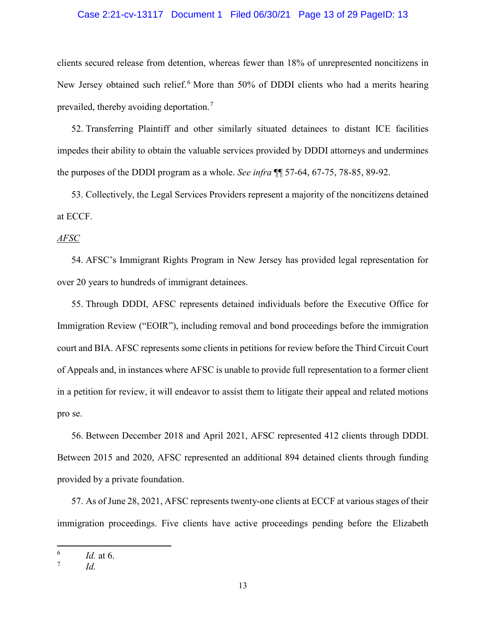### Case 2:21-cv-13117 Document 1 Filed 06/30/21 Page 13 of 29 PageID: 13

clients secured release from detention, whereas fewer than 18% of unrepresented noncitizens in New Jersey obtained such relief.<sup>[6](#page-12-0)</sup> More than 50% of DDDI clients who had a merits hearing prevailed, thereby avoiding deportation.[7](#page-12-1)

52. Transferring Plaintiff and other similarly situated detainees to distant ICE facilities impedes their ability to obtain the valuable services provided by DDDI attorneys and undermines the purposes of the DDDI program as a whole. *See infra* ¶¶ 57-64, 67-75, 78-85, 89-92.

53. Collectively, the Legal Services Providers represent a majority of the noncitizens detained at ECCF.

#### *AFSC*

54. AFSC's Immigrant Rights Program in New Jersey has provided legal representation for over 20 years to hundreds of immigrant detainees.

55. Through DDDI, AFSC represents detained individuals before the Executive Office for Immigration Review ("EOIR"), including removal and bond proceedings before the immigration court and BIA. AFSC represents some clients in petitions for review before the Third Circuit Court of Appeals and, in instances where AFSC is unable to provide full representation to a former client in a petition for review, it will endeavor to assist them to litigate their appeal and related motions pro se.

56. Between December 2018 and April 2021, AFSC represented 412 clients through DDDI. Between 2015 and 2020, AFSC represented an additional 894 detained clients through funding provided by a private foundation.

57. As of June 28, 2021, AFSC represents twenty-one clients at ECCF at various stages of their immigration proceedings. Five clients have active proceedings pending before the Elizabeth

<span id="page-12-0"></span> $\frac{6}{7}$  *Id.* at 6.

<span id="page-12-1"></span> $Id$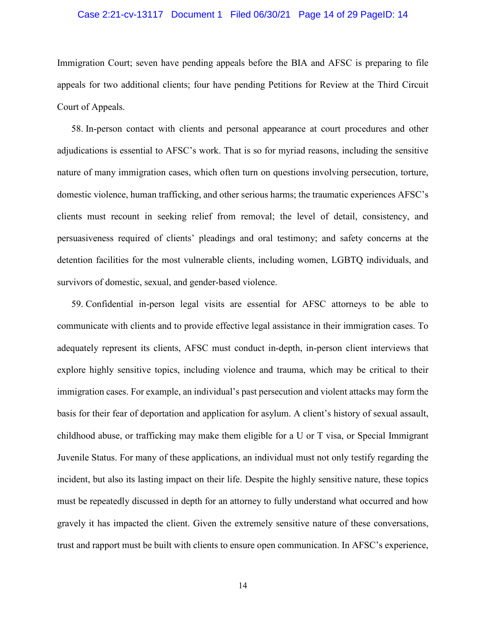#### Case 2:21-cv-13117 Document 1 Filed 06/30/21 Page 14 of 29 PageID: 14

Immigration Court; seven have pending appeals before the BIA and AFSC is preparing to file appeals for two additional clients; four have pending Petitions for Review at the Third Circuit Court of Appeals.

58. In-person contact with clients and personal appearance at court procedures and other adjudications is essential to AFSC's work. That is so for myriad reasons, including the sensitive nature of many immigration cases, which often turn on questions involving persecution, torture, domestic violence, human trafficking, and other serious harms; the traumatic experiences AFSC's clients must recount in seeking relief from removal; the level of detail, consistency, and persuasiveness required of clients' pleadings and oral testimony; and safety concerns at the detention facilities for the most vulnerable clients, including women, LGBTQ individuals, and survivors of domestic, sexual, and gender-based violence.

59. Confidential in-person legal visits are essential for AFSC attorneys to be able to communicate with clients and to provide effective legal assistance in their immigration cases. To adequately represent its clients, AFSC must conduct in-depth, in-person client interviews that explore highly sensitive topics, including violence and trauma, which may be critical to their immigration cases. For example, an individual's past persecution and violent attacks may form the basis for their fear of deportation and application for asylum. A client's history of sexual assault, childhood abuse, or trafficking may make them eligible for a U or T visa, or Special Immigrant Juvenile Status. For many of these applications, an individual must not only testify regarding the incident, but also its lasting impact on their life. Despite the highly sensitive nature, these topics must be repeatedly discussed in depth for an attorney to fully understand what occurred and how gravely it has impacted the client. Given the extremely sensitive nature of these conversations, trust and rapport must be built with clients to ensure open communication. In AFSC's experience,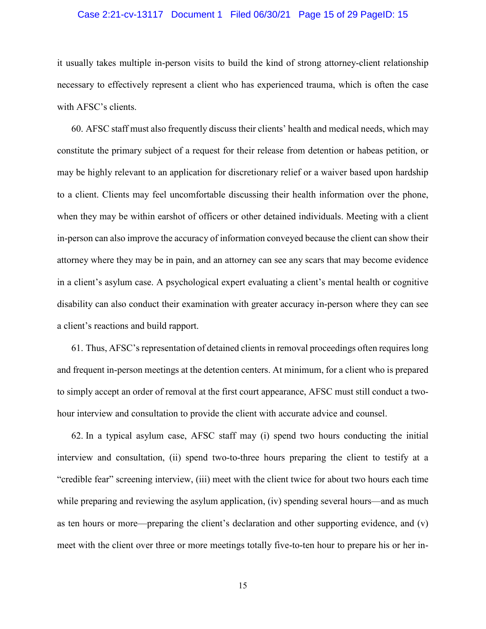#### Case 2:21-cv-13117 Document 1 Filed 06/30/21 Page 15 of 29 PageID: 15

it usually takes multiple in-person visits to build the kind of strong attorney-client relationship necessary to effectively represent a client who has experienced trauma, which is often the case with AFSC's clients.

60. AFSC staff must also frequently discuss their clients' health and medical needs, which may constitute the primary subject of a request for their release from detention or habeas petition, or may be highly relevant to an application for discretionary relief or a waiver based upon hardship to a client. Clients may feel uncomfortable discussing their health information over the phone, when they may be within earshot of officers or other detained individuals. Meeting with a client in-person can also improve the accuracy of information conveyed because the client can show their attorney where they may be in pain, and an attorney can see any scars that may become evidence in a client's asylum case. A psychological expert evaluating a client's mental health or cognitive disability can also conduct their examination with greater accuracy in-person where they can see a client's reactions and build rapport.

61. Thus, AFSC's representation of detained clients in removal proceedings often requires long and frequent in-person meetings at the detention centers. At minimum, for a client who is prepared to simply accept an order of removal at the first court appearance, AFSC must still conduct a twohour interview and consultation to provide the client with accurate advice and counsel.

62. In a typical asylum case, AFSC staff may (i) spend two hours conducting the initial interview and consultation, (ii) spend two-to-three hours preparing the client to testify at a "credible fear" screening interview, (iii) meet with the client twice for about two hours each time while preparing and reviewing the asylum application, (iv) spending several hours—and as much as ten hours or more—preparing the client's declaration and other supporting evidence, and (v) meet with the client over three or more meetings totally five-to-ten hour to prepare his or her in-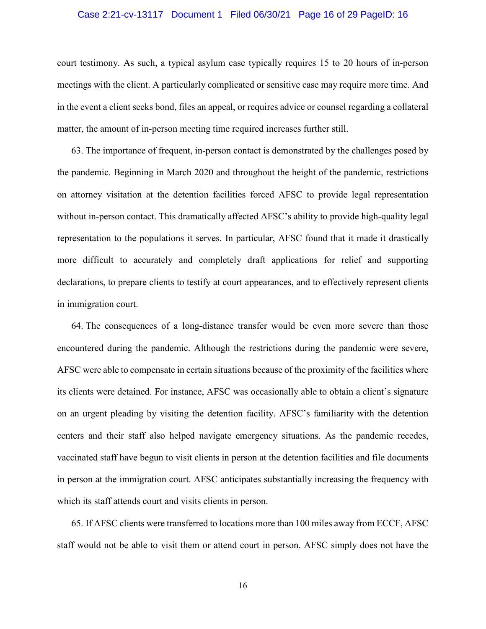#### Case 2:21-cv-13117 Document 1 Filed 06/30/21 Page 16 of 29 PageID: 16

court testimony. As such, a typical asylum case typically requires 15 to 20 hours of in-person meetings with the client. A particularly complicated or sensitive case may require more time. And in the event a client seeks bond, files an appeal, or requires advice or counsel regarding a collateral matter, the amount of in-person meeting time required increases further still.

63. The importance of frequent, in-person contact is demonstrated by the challenges posed by the pandemic. Beginning in March 2020 and throughout the height of the pandemic, restrictions on attorney visitation at the detention facilities forced AFSC to provide legal representation without in-person contact. This dramatically affected AFSC's ability to provide high-quality legal representation to the populations it serves. In particular, AFSC found that it made it drastically more difficult to accurately and completely draft applications for relief and supporting declarations, to prepare clients to testify at court appearances, and to effectively represent clients in immigration court.

64. The consequences of a long-distance transfer would be even more severe than those encountered during the pandemic. Although the restrictions during the pandemic were severe, AFSC were able to compensate in certain situations because of the proximity of the facilities where its clients were detained. For instance, AFSC was occasionally able to obtain a client's signature on an urgent pleading by visiting the detention facility. AFSC's familiarity with the detention centers and their staff also helped navigate emergency situations. As the pandemic recedes, vaccinated staff have begun to visit clients in person at the detention facilities and file documents in person at the immigration court. AFSC anticipates substantially increasing the frequency with which its staff attends court and visits clients in person.

65. If AFSC clients were transferred to locations more than 100 miles away from ECCF, AFSC staff would not be able to visit them or attend court in person. AFSC simply does not have the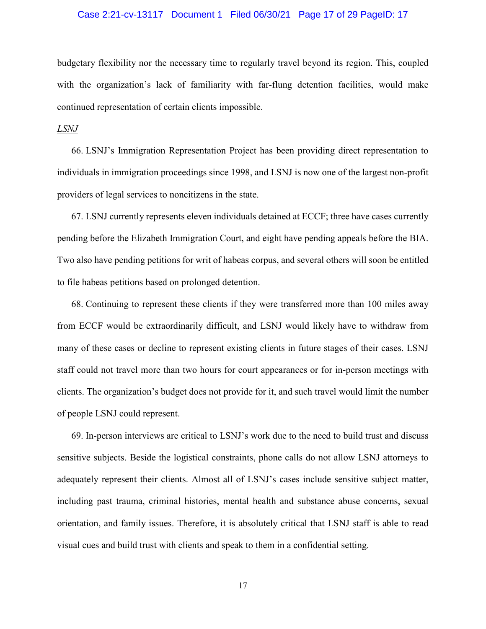#### Case 2:21-cv-13117 Document 1 Filed 06/30/21 Page 17 of 29 PageID: 17

budgetary flexibility nor the necessary time to regularly travel beyond its region. This, coupled with the organization's lack of familiarity with far-flung detention facilities, would make continued representation of certain clients impossible.

### *LSNJ*

66. LSNJ's Immigration Representation Project has been providing direct representation to individuals in immigration proceedings since 1998, and LSNJ is now one of the largest non-profit providers of legal services to noncitizens in the state.

67. LSNJ currently represents eleven individuals detained at ECCF; three have cases currently pending before the Elizabeth Immigration Court, and eight have pending appeals before the BIA. Two also have pending petitions for writ of habeas corpus, and several others will soon be entitled to file habeas petitions based on prolonged detention.

68. Continuing to represent these clients if they were transferred more than 100 miles away from ECCF would be extraordinarily difficult, and LSNJ would likely have to withdraw from many of these cases or decline to represent existing clients in future stages of their cases. LSNJ staff could not travel more than two hours for court appearances or for in-person meetings with clients. The organization's budget does not provide for it, and such travel would limit the number of people LSNJ could represent.

69. In-person interviews are critical to LSNJ's work due to the need to build trust and discuss sensitive subjects. Beside the logistical constraints, phone calls do not allow LSNJ attorneys to adequately represent their clients. Almost all of LSNJ's cases include sensitive subject matter, including past trauma, criminal histories, mental health and substance abuse concerns, sexual orientation, and family issues. Therefore, it is absolutely critical that LSNJ staff is able to read visual cues and build trust with clients and speak to them in a confidential setting.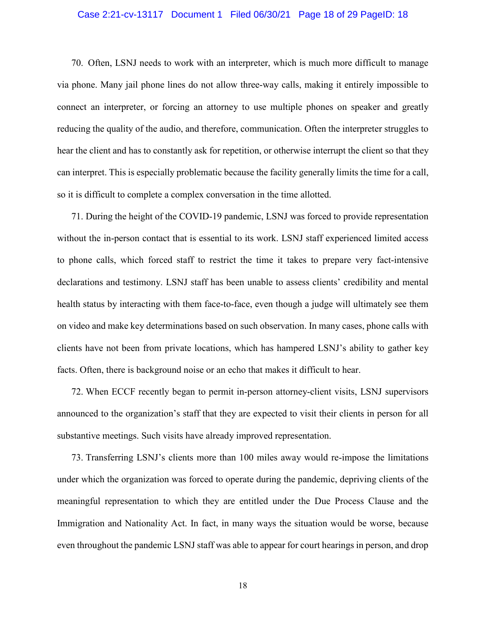#### Case 2:21-cv-13117 Document 1 Filed 06/30/21 Page 18 of 29 PageID: 18

70. Often, LSNJ needs to work with an interpreter, which is much more difficult to manage via phone. Many jail phone lines do not allow three-way calls, making it entirely impossible to connect an interpreter, or forcing an attorney to use multiple phones on speaker and greatly reducing the quality of the audio, and therefore, communication. Often the interpreter struggles to hear the client and has to constantly ask for repetition, or otherwise interrupt the client so that they can interpret. This is especially problematic because the facility generally limits the time for a call, so it is difficult to complete a complex conversation in the time allotted.

71. During the height of the COVID-19 pandemic, LSNJ was forced to provide representation without the in-person contact that is essential to its work. LSNJ staff experienced limited access to phone calls, which forced staff to restrict the time it takes to prepare very fact-intensive declarations and testimony. LSNJ staff has been unable to assess clients' credibility and mental health status by interacting with them face-to-face, even though a judge will ultimately see them on video and make key determinations based on such observation. In many cases, phone calls with clients have not been from private locations, which has hampered LSNJ's ability to gather key facts. Often, there is background noise or an echo that makes it difficult to hear.

72. When ECCF recently began to permit in-person attorney-client visits, LSNJ supervisors announced to the organization's staff that they are expected to visit their clients in person for all substantive meetings. Such visits have already improved representation.

73. Transferring LSNJ's clients more than 100 miles away would re-impose the limitations under which the organization was forced to operate during the pandemic, depriving clients of the meaningful representation to which they are entitled under the Due Process Clause and the Immigration and Nationality Act. In fact, in many ways the situation would be worse, because even throughout the pandemic LSNJ staff was able to appear for court hearings in person, and drop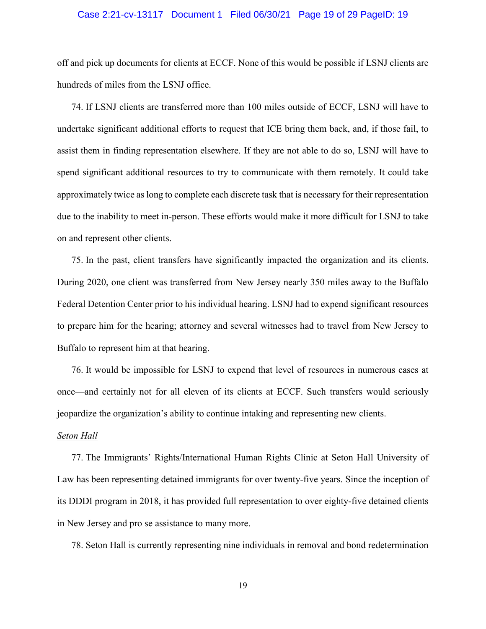#### Case 2:21-cv-13117 Document 1 Filed 06/30/21 Page 19 of 29 PageID: 19

off and pick up documents for clients at ECCF. None of this would be possible if LSNJ clients are hundreds of miles from the LSNJ office.

74. If LSNJ clients are transferred more than 100 miles outside of ECCF, LSNJ will have to undertake significant additional efforts to request that ICE bring them back, and, if those fail, to assist them in finding representation elsewhere. If they are not able to do so, LSNJ will have to spend significant additional resources to try to communicate with them remotely. It could take approximately twice as long to complete each discrete task that is necessary for their representation due to the inability to meet in-person. These efforts would make it more difficult for LSNJ to take on and represent other clients.

75. In the past, client transfers have significantly impacted the organization and its clients. During 2020, one client was transferred from New Jersey nearly 350 miles away to the Buffalo Federal Detention Center prior to his individual hearing. LSNJ had to expend significant resources to prepare him for the hearing; attorney and several witnesses had to travel from New Jersey to Buffalo to represent him at that hearing.

76. It would be impossible for LSNJ to expend that level of resources in numerous cases at once—and certainly not for all eleven of its clients at ECCF. Such transfers would seriously jeopardize the organization's ability to continue intaking and representing new clients.

#### *Seton Hall*

77. The Immigrants' Rights/International Human Rights Clinic at Seton Hall University of Law has been representing detained immigrants for over twenty-five years. Since the inception of its DDDI program in 2018, it has provided full representation to over eighty-five detained clients in New Jersey and pro se assistance to many more.

78. Seton Hall is currently representing nine individuals in removal and bond redetermination

19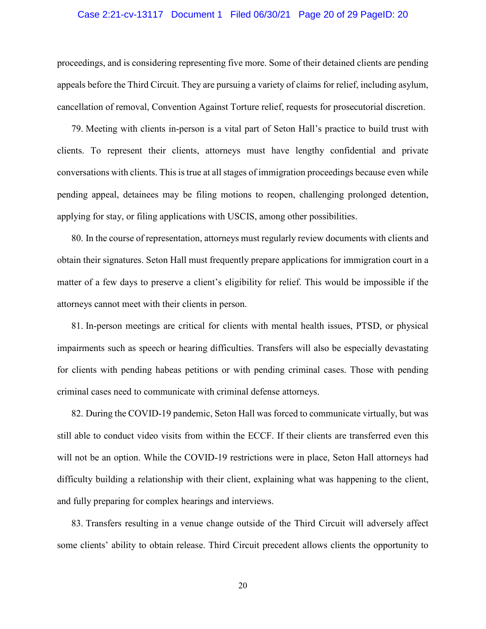#### Case 2:21-cv-13117 Document 1 Filed 06/30/21 Page 20 of 29 PageID: 20

proceedings, and is considering representing five more. Some of their detained clients are pending appeals before the Third Circuit. They are pursuing a variety of claims for relief, including asylum, cancellation of removal, Convention Against Torture relief, requests for prosecutorial discretion.

79. Meeting with clients in-person is a vital part of Seton Hall's practice to build trust with clients. To represent their clients, attorneys must have lengthy confidential and private conversations with clients. This is true at all stages of immigration proceedings because even while pending appeal, detainees may be filing motions to reopen, challenging prolonged detention, applying for stay, or filing applications with USCIS, among other possibilities.

80. In the course of representation, attorneys must regularly review documents with clients and obtain their signatures. Seton Hall must frequently prepare applications for immigration court in a matter of a few days to preserve a client's eligibility for relief. This would be impossible if the attorneys cannot meet with their clients in person.

81. In-person meetings are critical for clients with mental health issues, PTSD, or physical impairments such as speech or hearing difficulties. Transfers will also be especially devastating for clients with pending habeas petitions or with pending criminal cases. Those with pending criminal cases need to communicate with criminal defense attorneys.

82. During the COVID-19 pandemic, Seton Hall was forced to communicate virtually, but was still able to conduct video visits from within the ECCF. If their clients are transferred even this will not be an option. While the COVID-19 restrictions were in place, Seton Hall attorneys had difficulty building a relationship with their client, explaining what was happening to the client, and fully preparing for complex hearings and interviews.

83. Transfers resulting in a venue change outside of the Third Circuit will adversely affect some clients' ability to obtain release. Third Circuit precedent allows clients the opportunity to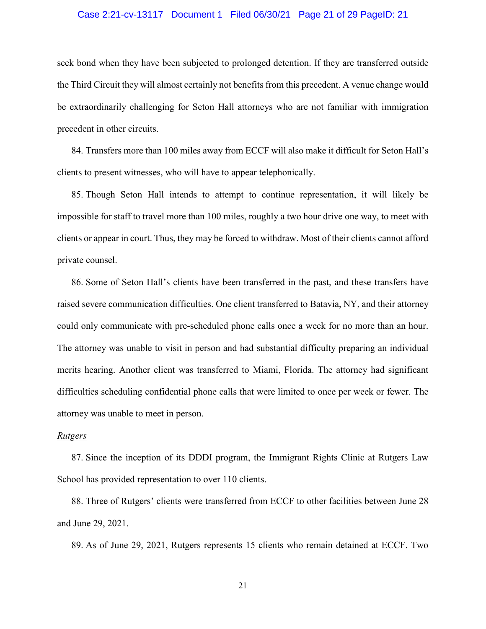#### Case 2:21-cv-13117 Document 1 Filed 06/30/21 Page 21 of 29 PageID: 21

seek bond when they have been subjected to prolonged detention. If they are transferred outside the Third Circuit they will almost certainly not benefits from this precedent. A venue change would be extraordinarily challenging for Seton Hall attorneys who are not familiar with immigration precedent in other circuits.

84. Transfers more than 100 miles away from ECCF will also make it difficult for Seton Hall's clients to present witnesses, who will have to appear telephonically.

85. Though Seton Hall intends to attempt to continue representation, it will likely be impossible for staff to travel more than 100 miles, roughly a two hour drive one way, to meet with clients or appear in court. Thus, they may be forced to withdraw. Most of their clients cannot afford private counsel.

86. Some of Seton Hall's clients have been transferred in the past, and these transfers have raised severe communication difficulties. One client transferred to Batavia, NY, and their attorney could only communicate with pre-scheduled phone calls once a week for no more than an hour. The attorney was unable to visit in person and had substantial difficulty preparing an individual merits hearing. Another client was transferred to Miami, Florida. The attorney had significant difficulties scheduling confidential phone calls that were limited to once per week or fewer. The attorney was unable to meet in person.

#### *Rutgers*

87. Since the inception of its DDDI program, the Immigrant Rights Clinic at Rutgers Law School has provided representation to over 110 clients.

88. Three of Rutgers' clients were transferred from ECCF to other facilities between June 28 and June 29, 2021.

89. As of June 29, 2021, Rutgers represents 15 clients who remain detained at ECCF. Two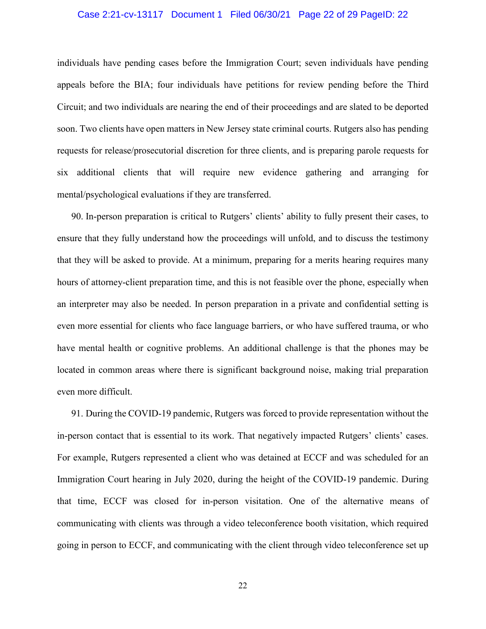#### Case 2:21-cv-13117 Document 1 Filed 06/30/21 Page 22 of 29 PageID: 22

individuals have pending cases before the Immigration Court; seven individuals have pending appeals before the BIA; four individuals have petitions for review pending before the Third Circuit; and two individuals are nearing the end of their proceedings and are slated to be deported soon. Two clients have open matters in New Jersey state criminal courts. Rutgers also has pending requests for release/prosecutorial discretion for three clients, and is preparing parole requests for six additional clients that will require new evidence gathering and arranging for mental/psychological evaluations if they are transferred.

90. In-person preparation is critical to Rutgers' clients' ability to fully present their cases, to ensure that they fully understand how the proceedings will unfold, and to discuss the testimony that they will be asked to provide. At a minimum, preparing for a merits hearing requires many hours of attorney-client preparation time, and this is not feasible over the phone, especially when an interpreter may also be needed. In person preparation in a private and confidential setting is even more essential for clients who face language barriers, or who have suffered trauma, or who have mental health or cognitive problems. An additional challenge is that the phones may be located in common areas where there is significant background noise, making trial preparation even more difficult.

91. During the COVID-19 pandemic, Rutgers was forced to provide representation without the in-person contact that is essential to its work. That negatively impacted Rutgers' clients' cases. For example, Rutgers represented a client who was detained at ECCF and was scheduled for an Immigration Court hearing in July 2020, during the height of the COVID-19 pandemic. During that time, ECCF was closed for in-person visitation. One of the alternative means of communicating with clients was through a video teleconference booth visitation, which required going in person to ECCF, and communicating with the client through video teleconference set up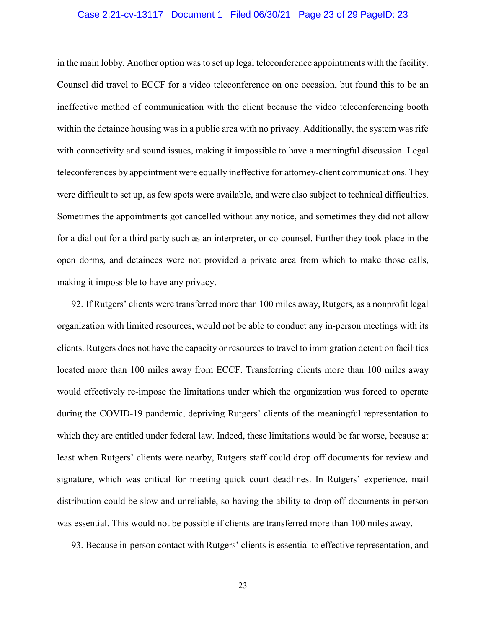#### Case 2:21-cv-13117 Document 1 Filed 06/30/21 Page 23 of 29 PageID: 23

in the main lobby. Another option was to set up legal teleconference appointments with the facility. Counsel did travel to ECCF for a video teleconference on one occasion, but found this to be an ineffective method of communication with the client because the video teleconferencing booth within the detainee housing was in a public area with no privacy. Additionally, the system was rife with connectivity and sound issues, making it impossible to have a meaningful discussion. Legal teleconferences by appointment were equally ineffective for attorney-client communications. They were difficult to set up, as few spots were available, and were also subject to technical difficulties. Sometimes the appointments got cancelled without any notice, and sometimes they did not allow for a dial out for a third party such as an interpreter, or co-counsel. Further they took place in the open dorms, and detainees were not provided a private area from which to make those calls, making it impossible to have any privacy.

92. If Rutgers' clients were transferred more than 100 miles away, Rutgers, as a nonprofit legal organization with limited resources, would not be able to conduct any in-person meetings with its clients. Rutgers does not have the capacity or resources to travel to immigration detention facilities located more than 100 miles away from ECCF. Transferring clients more than 100 miles away would effectively re-impose the limitations under which the organization was forced to operate during the COVID-19 pandemic, depriving Rutgers' clients of the meaningful representation to which they are entitled under federal law. Indeed, these limitations would be far worse, because at least when Rutgers' clients were nearby, Rutgers staff could drop off documents for review and signature, which was critical for meeting quick court deadlines. In Rutgers' experience, mail distribution could be slow and unreliable, so having the ability to drop off documents in person was essential. This would not be possible if clients are transferred more than 100 miles away.

93. Because in-person contact with Rutgers' clients is essential to effective representation, and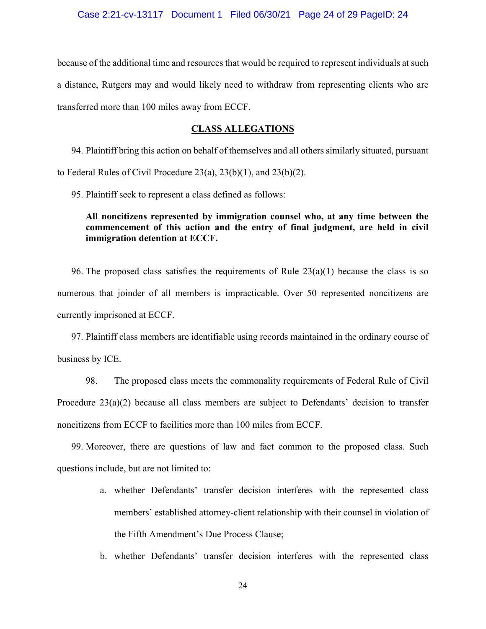because of the additional time and resources that would be required to represent individuals at such a distance, Rutgers may and would likely need to withdraw from representing clients who are transferred more than 100 miles away from ECCF.

# **CLASS ALLEGATIONS**

94. Plaintiff bring this action on behalf of themselves and all others similarly situated, pursuant to Federal Rules of Civil Procedure 23(a), 23(b)(1), and 23(b)(2).

95. Plaintiff seek to represent a class defined as follows:

# **All noncitizens represented by immigration counsel who, at any time between the commencement of this action and the entry of final judgment, are held in civil immigration detention at ECCF.**

96. The proposed class satisfies the requirements of Rule  $23(a)(1)$  because the class is so numerous that joinder of all members is impracticable. Over 50 represented noncitizens are currently imprisoned at ECCF.

97. Plaintiff class members are identifiable using records maintained in the ordinary course of business by ICE.

98. The proposed class meets the commonality requirements of Federal Rule of Civil Procedure 23(a)(2) because all class members are subject to Defendants' decision to transfer noncitizens from ECCF to facilities more than 100 miles from ECCF.

99. Moreover, there are questions of law and fact common to the proposed class. Such questions include, but are not limited to:

- a. whether Defendants' transfer decision interferes with the represented class members' established attorney-client relationship with their counsel in violation of the Fifth Amendment's Due Process Clause;
- b. whether Defendants' transfer decision interferes with the represented class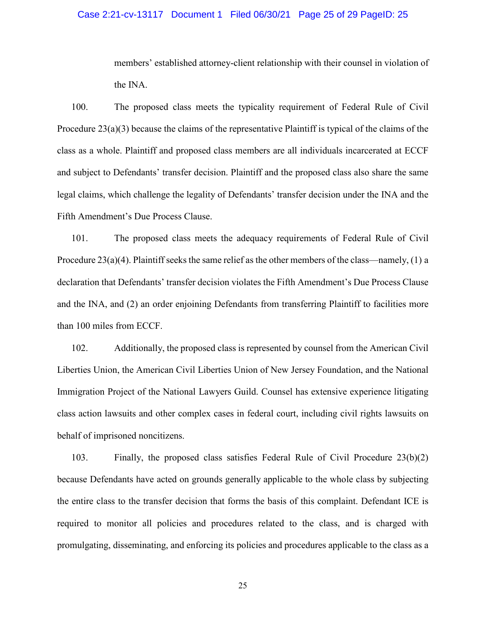### Case 2:21-cv-13117 Document 1 Filed 06/30/21 Page 25 of 29 PageID: 25

members' established attorney-client relationship with their counsel in violation of the INA.

100. The proposed class meets the typicality requirement of Federal Rule of Civil Procedure 23(a)(3) because the claims of the representative Plaintiff is typical of the claims of the class as a whole. Plaintiff and proposed class members are all individuals incarcerated at ECCF and subject to Defendants' transfer decision. Plaintiff and the proposed class also share the same legal claims, which challenge the legality of Defendants' transfer decision under the INA and the Fifth Amendment's Due Process Clause.

101. The proposed class meets the adequacy requirements of Federal Rule of Civil Procedure 23(a)(4). Plaintiff seeks the same relief as the other members of the class—namely, (1) a declaration that Defendants' transfer decision violates the Fifth Amendment's Due Process Clause and the INA, and (2) an order enjoining Defendants from transferring Plaintiff to facilities more than 100 miles from ECCF.

102. Additionally, the proposed class is represented by counsel from the American Civil Liberties Union, the American Civil Liberties Union of New Jersey Foundation, and the National Immigration Project of the National Lawyers Guild. Counsel has extensive experience litigating class action lawsuits and other complex cases in federal court, including civil rights lawsuits on behalf of imprisoned noncitizens.

103. Finally, the proposed class satisfies Federal Rule of Civil Procedure 23(b)(2) because Defendants have acted on grounds generally applicable to the whole class by subjecting the entire class to the transfer decision that forms the basis of this complaint. Defendant ICE is required to monitor all policies and procedures related to the class, and is charged with promulgating, disseminating, and enforcing its policies and procedures applicable to the class as a

25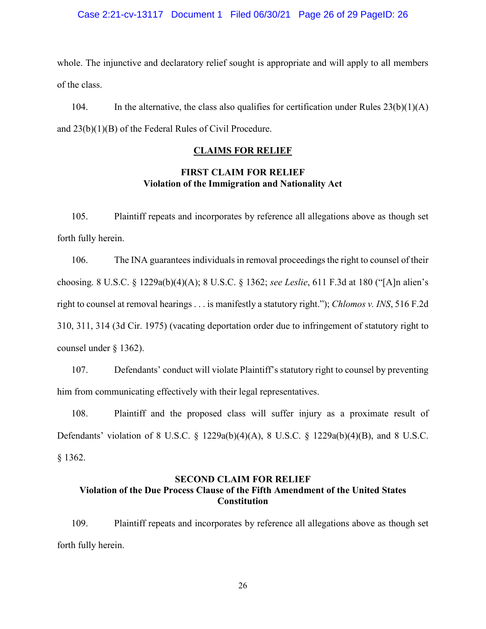### Case 2:21-cv-13117 Document 1 Filed 06/30/21 Page 26 of 29 PageID: 26

whole. The injunctive and declaratory relief sought is appropriate and will apply to all members of the class.

104. In the alternative, the class also qualifies for certification under Rules  $23(b)(1)(A)$ and 23(b)(1)(B) of the Federal Rules of Civil Procedure.

## **CLAIMS FOR RELIEF**

# **FIRST CLAIM FOR RELIEF Violation of the Immigration and Nationality Act**

105. Plaintiff repeats and incorporates by reference all allegations above as though set forth fully herein.

106. The INA guarantees individuals in removal proceedings the right to counsel of their choosing. 8 U.S.C. § 1229a(b)(4)(A); 8 U.S.C. § 1362; *see Leslie*, 611 F.3d at 180 ("[A]n alien's right to counsel at removal hearings . . . is manifestly a statutory right."); *Chlomos v. INS*, 516 F.2d 310, 311, 314 (3d Cir. 1975) (vacating deportation order due to infringement of statutory right to counsel under § 1362).

107. Defendants' conduct will violate Plaintiff's statutory right to counsel by preventing him from communicating effectively with their legal representatives.

108. Plaintiff and the proposed class will suffer injury as a proximate result of Defendants' violation of 8 U.S.C. § 1229a(b)(4)(A), 8 U.S.C. § 1229a(b)(4)(B), and 8 U.S.C. § 1362.

# **SECOND CLAIM FOR RELIEF Violation of the Due Process Clause of the Fifth Amendment of the United States Constitution**

109. Plaintiff repeats and incorporates by reference all allegations above as though set forth fully herein.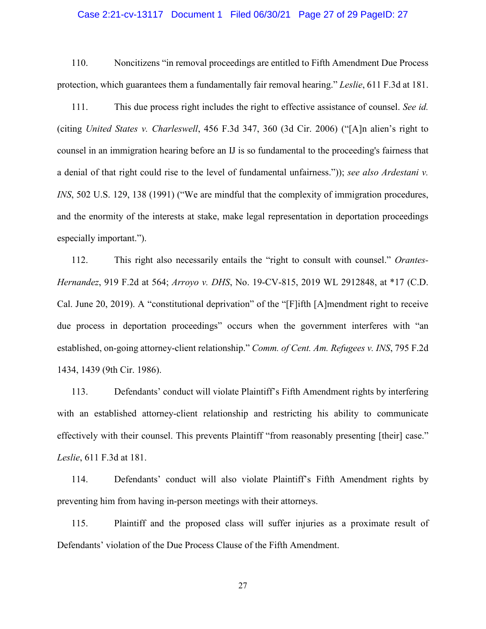#### Case 2:21-cv-13117 Document 1 Filed 06/30/21 Page 27 of 29 PageID: 27

110. Noncitizens "in removal proceedings are entitled to Fifth Amendment Due Process protection, which guarantees them a fundamentally fair removal hearing." *Leslie*, 611 F.3d at 181.

111. This due process right includes the right to effective assistance of counsel. *See id.* (citing *United States v. Charleswell*, 456 F.3d 347, 360 (3d Cir. 2006) ("[A]n alien's right to counsel in an immigration hearing before an IJ is so fundamental to the proceeding's fairness that a denial of that right could rise to the level of fundamental unfairness.")); *see also Ardestani v. INS*, 502 U.S. 129, 138 (1991) ("We are mindful that the complexity of immigration procedures, and the enormity of the interests at stake, make legal representation in deportation proceedings especially important.").

112. This right also necessarily entails the "right to consult with counsel." *Orantes-Hernandez*, 919 F.2d at 564; *Arroyo v. DHS*, No. 19-CV-815, 2019 WL 2912848, at \*17 (C.D. Cal. June 20, 2019). A "constitutional deprivation" of the "[F]ifth [A]mendment right to receive due process in deportation proceedings" occurs when the government interferes with "an established, on-going attorney-client relationship." *Comm. of Cent. Am. Refugees v. INS*, 795 F.2d 1434, 1439 (9th Cir. 1986).

113. Defendants' conduct will violate Plaintiff's Fifth Amendment rights by interfering with an established attorney-client relationship and restricting his ability to communicate effectively with their counsel. This prevents Plaintiff "from reasonably presenting [their] case." *Leslie*, 611 F.3d at 181.

114. Defendants' conduct will also violate Plaintiff's Fifth Amendment rights by preventing him from having in-person meetings with their attorneys.

115. Plaintiff and the proposed class will suffer injuries as a proximate result of Defendants' violation of the Due Process Clause of the Fifth Amendment.

27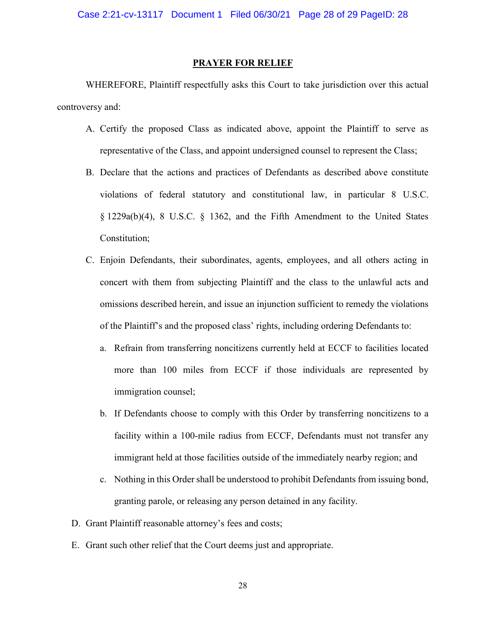#### **PRAYER FOR RELIEF**

WHEREFORE, Plaintiff respectfully asks this Court to take jurisdiction over this actual controversy and:

- A. Certify the proposed Class as indicated above, appoint the Plaintiff to serve as representative of the Class, and appoint undersigned counsel to represent the Class;
- B. Declare that the actions and practices of Defendants as described above constitute violations of federal statutory and constitutional law, in particular 8 U.S.C. § 1229a(b)(4), 8 U.S.C. § 1362, and the Fifth Amendment to the United States Constitution;
- C. Enjoin Defendants, their subordinates, agents, employees, and all others acting in concert with them from subjecting Plaintiff and the class to the unlawful acts and omissions described herein, and issue an injunction sufficient to remedy the violations of the Plaintiff's and the proposed class' rights, including ordering Defendants to:
	- a. Refrain from transferring noncitizens currently held at ECCF to facilities located more than 100 miles from ECCF if those individuals are represented by immigration counsel;
	- b. If Defendants choose to comply with this Order by transferring noncitizens to a facility within a 100-mile radius from ECCF, Defendants must not transfer any immigrant held at those facilities outside of the immediately nearby region; and
	- c. Nothing in this Order shall be understood to prohibit Defendants from issuing bond, granting parole, or releasing any person detained in any facility.
- D. Grant Plaintiff reasonable attorney's fees and costs;
- E. Grant such other relief that the Court deems just and appropriate.